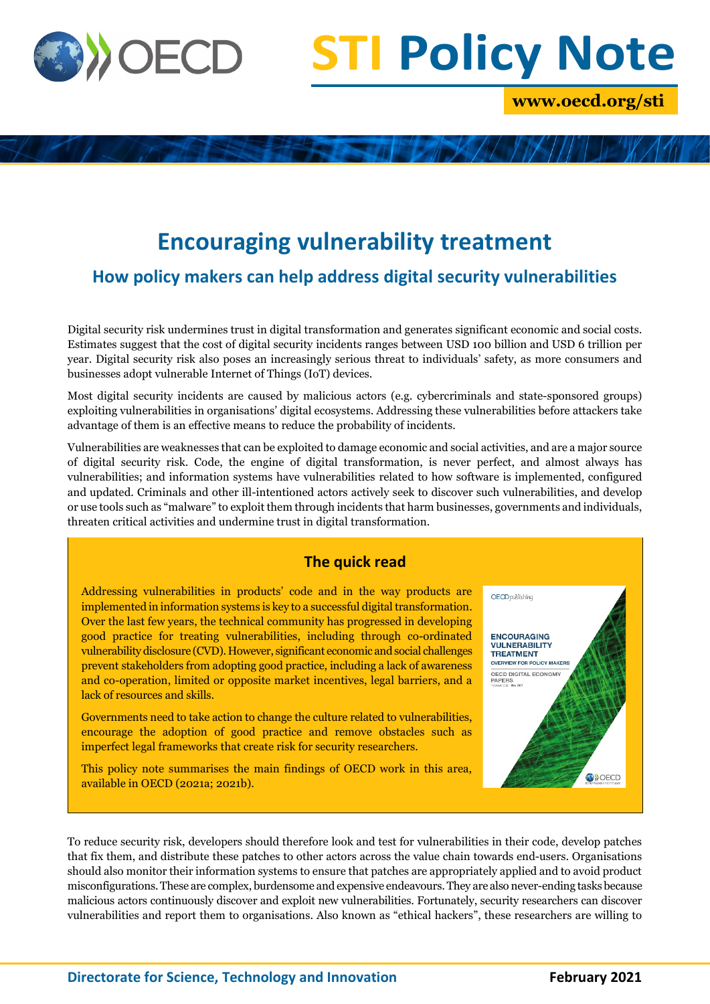

# **STI Policy Note**

**www.oecd.org/sti**

# **Encouraging vulnerability treatment**

**How policy makers can help address digital security vulnerabilities**

Digital security risk undermines trust in digital transformation and generates significant economic and social costs. Estimates suggest that the cost of digital security incidents ranges between USD 100 billion and USD 6 trillion per year. Digital security risk also poses an increasingly serious threat to individuals' safety, as more consumers and businesses adopt vulnerable Internet of Things (IoT) devices.

Most digital security incidents are caused by malicious actors (e.g. cybercriminals and state-sponsored groups) exploiting vulnerabilities in organisations' digital ecosystems. Addressing these vulnerabilities before attackers take advantage of them is an effective means to reduce the probability of incidents.

Vulnerabilities are weaknesses that can be exploited to damage economic and social activities, and are a major source of digital security risk. Code, the engine of digital transformation, is never perfect, and almost always has vulnerabilities; and information systems have vulnerabilities related to how software is implemented, configured and updated. Criminals and other ill-intentioned actors actively seek to discover such vulnerabilities, and develop or use tools such as "malware" to exploit them through incidents that harm businesses, governments and individuals, threaten critical activities and undermine trust in digital transformation.

# **The quick read**

Addressing vulnerabilities in products' code and in the way products are implemented in information systems is key to a successful digital transformation. Over the last few years, the technical community has progressed in developing good practice for treating vulnerabilities, including through co-ordinated vulnerability disclosure (CVD). However, significant economic and social challenges prevent stakeholders from adopting good practice, including a lack of awareness and co-operation, limited or opposite market incentives, legal barriers, and a lack of resources and skills.

Governments need to take action to change the culture related to vulnerabilities, encourage the adoption of good practice and remove obstacles such as imperfect legal frameworks that create risk for security researchers.

This policy note summarises the main findings of OECD work in this area, available in OECD (2021a; 2021b).



To reduce security risk, developers should therefore look and test for vulnerabilities in their code, develop patches that fix them, and distribute these patches to other actors across the value chain towards end-users. Organisations should also monitor their information systems to ensure that patches are appropriately applied and to avoid product misconfigurations. These are complex, burdensome and expensive endeavours. They are also never-ending tasks because malicious actors continuously discover and exploit new vulnerabilities. Fortunately, security researchers can discover vulnerabilities and report them to organisations. Also known as "ethical hackers", these researchers are willing to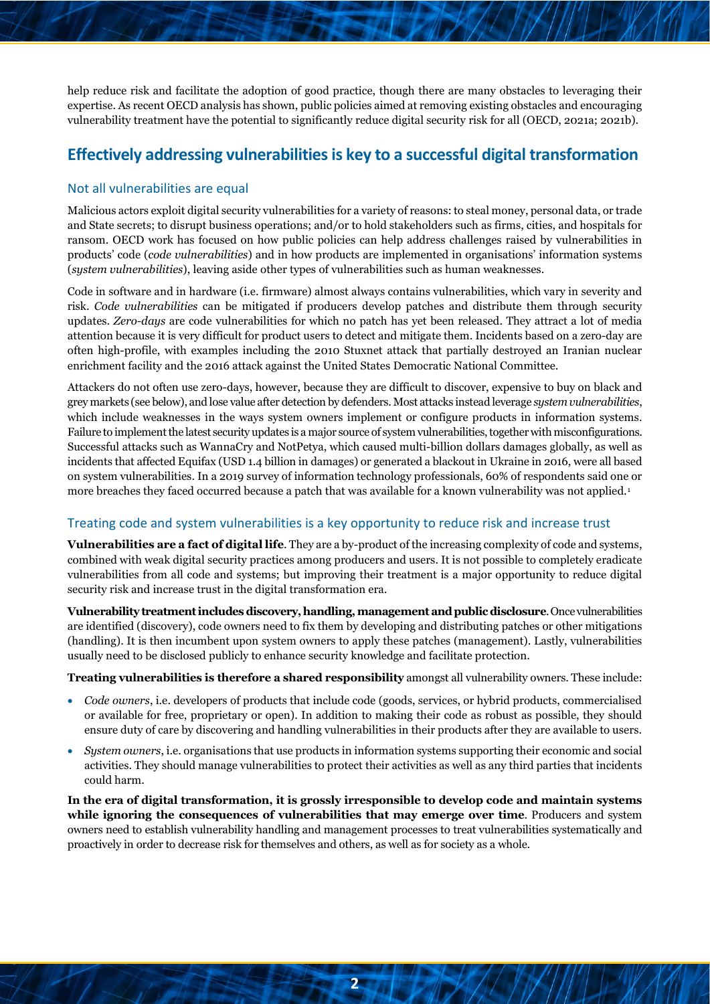help reduce risk and facilitate the adoption of good practice, though there are many obstacles to leveraging their expertise. As recent OECD analysis has shown, public policies aimed at removing existing obstacles and encouraging vulnerability treatment have the potential to significantly reduce digital security risk for all (OECD, 2021a; 2021b).

# **Effectively addressing vulnerabilities is key to a successful digital transformation**

#### Not all vulnerabilities are equal

Malicious actors exploit digital security vulnerabilities for a variety of reasons: to steal money, personal data, or trade and State secrets; to disrupt business operations; and/or to hold stakeholders such as firms, cities, and hospitals for ransom. OECD work has focused on how public policies can help address challenges raised by vulnerabilities in products' code (*code vulnerabilities*) and in how products are implemented in organisations' information systems (*system vulnerabilities*), leaving aside other types of vulnerabilities such as human weaknesses.

Code in software and in hardware (i.e. firmware) almost always contains vulnerabilities, which vary in severity and risk. *Code vulnerabilities* can be mitigated if producers develop patches and distribute them through security updates. *Zero-days* are code vulnerabilities for which no patch has yet been released. They attract a lot of media attention because it is very difficult for product users to detect and mitigate them. Incidents based on a zero-day are often high-profile, with examples including the 2010 Stuxnet attack that partially destroyed an Iranian nuclear enrichment facility and the 2016 attack against the United States Democratic National Committee.

Attackers do not often use zero-days, however, because they are difficult to discover, expensive to buy on black and grey markets (see below), and lose value after detection by defenders. Most attacks instead leverage *system vulnerabilities*, which include weaknesses in the ways system owners implement or configure products in information systems. Failure to implement the latest security updates is a major source of system vulnerabilities, together with misconfigurations. Successful attacks such as WannaCry and NotPetya, which caused multi-billion dollars damages globally, as well as incidents that affected Equifax (USD 1.4 billion in damages) or generated a blackout in Ukraine in 2016, were all based on system vulnerabilities. In a 2019 survey of information technology professionals, 60% of respondents said one or more breaches they faced occurred because a patch that was available for a known vulnerability was not applied.<sup>[1](#page-6-0)</sup>

#### Treating code and system vulnerabilities is a key opportunity to reduce risk and increase trust

**Vulnerabilities are a fact of digital life**. They are a by-product of the increasing complexity of code and systems, combined with weak digital security practices among producers and users. It is not possible to completely eradicate vulnerabilities from all code and systems; but improving their treatment is a major opportunity to reduce digital security risk and increase trust in the digital transformation era.

**Vulnerability treatment includes discovery, handling, management and public disclosure**. Once vulnerabilities are identified (discovery), code owners need to fix them by developing and distributing patches or other mitigations (handling). It is then incumbent upon system owners to apply these patches (management). Lastly, vulnerabilities usually need to be disclosed publicly to enhance security knowledge and facilitate protection.

**Treating vulnerabilities is therefore a shared responsibility** amongst all vulnerability owners. These include:

- *Code owners*, i.e. developers of products that include code (goods, services, or hybrid products, commercialised or available for free, proprietary or open). In addition to making their code as robust as possible, they should ensure duty of care by discovering and handling vulnerabilities in their products after they are available to users.
- *System owners*, i.e. organisations that use products in information systems supporting their economic and social activities. They should manage vulnerabilities to protect their activities as well as any third parties that incidents could harm.

**In the era of digital transformation, it is grossly irresponsible to develop code and maintain systems while ignoring the consequences of vulnerabilities that may emerge over time**. Producers and system owners need to establish vulnerability handling and management processes to treat vulnerabilities systematically and proactively in order to decrease risk for themselves and others, as well as for society as a whole.

**2**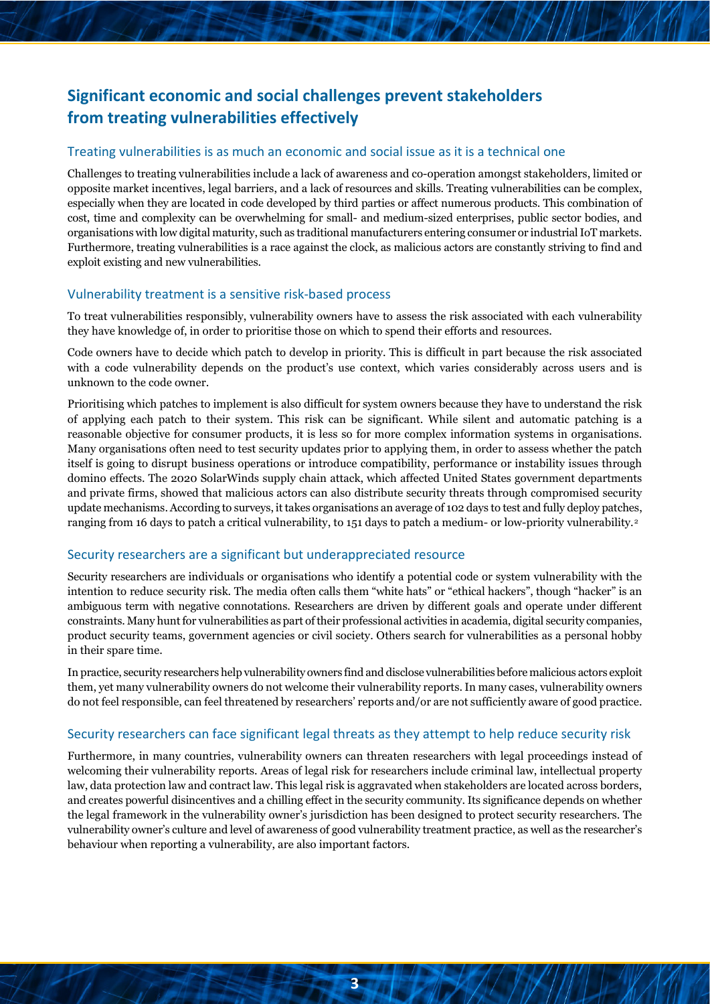# **Significant economic and social challenges prevent stakeholders from treating vulnerabilities effectively**

#### Treating vulnerabilities is as much an economic and social issue as it is a technical one

Challenges to treating vulnerabilities include a lack of awareness and co-operation amongst stakeholders, limited or opposite market incentives, legal barriers, and a lack of resources and skills. Treating vulnerabilities can be complex, especially when they are located in code developed by third parties or affect numerous products. This combination of cost, time and complexity can be overwhelming for small- and medium-sized enterprises, public sector bodies, and organisations with low digital maturity, such as traditional manufacturers entering consumer or industrial IoT markets. Furthermore, treating vulnerabilities is a race against the clock, as malicious actors are constantly striving to find and exploit existing and new vulnerabilities.

#### Vulnerability treatment is a sensitive risk-based process

To treat vulnerabilities responsibly, vulnerability owners have to assess the risk associated with each vulnerability they have knowledge of, in order to prioritise those on which to spend their efforts and resources.

Code owners have to decide which patch to develop in priority. This is difficult in part because the risk associated with a code vulnerability depends on the product's use context, which varies considerably across users and is unknown to the code owner.

Prioritising which patches to implement is also difficult for system owners because they have to understand the risk of applying each patch to their system. This risk can be significant. While silent and automatic patching is a reasonable objective for consumer products, it is less so for more complex information systems in organisations. Many organisations often need to test security updates prior to applying them, in order to assess whether the patch itself is going to disrupt business operations or introduce compatibility, performance or instability issues through domino effects. The 2020 SolarWinds supply chain attack, which affected United States government departments and private firms, showed that malicious actors can also distribute security threats through compromised security update mechanisms. According to surveys, it takes organisations an average of 102 days to test and fully deploy patches, ranging from 16 days to patch a critical vulnerability, to 151 days to patch a medium- or low-priority vulnerability.[2](#page-6-1)

#### Security researchers are a significant but underappreciated resource

Security researchers are individuals or organisations who identify a potential code or system vulnerability with the intention to reduce security risk. The media often calls them "white hats" or "ethical hackers", though "hacker" is an ambiguous term with negative connotations. Researchers are driven by different goals and operate under different constraints. Many hunt for vulnerabilities as part of their professional activities in academia, digital security companies, product security teams, government agencies or civil society. Others search for vulnerabilities as a personal hobby in their spare time.

In practice, security researchers help vulnerability owners find and disclose vulnerabilities before malicious actors exploit them, yet many vulnerability owners do not welcome their vulnerability reports. In many cases, vulnerability owners do not feel responsible, can feel threatened by researchers' reports and/or are not sufficiently aware of good practice.

#### Security researchers can face significant legal threats as they attempt to help reduce security risk

Furthermore, in many countries, vulnerability owners can threaten researchers with legal proceedings instead of welcoming their vulnerability reports. Areas of legal risk for researchers include criminal law, intellectual property law, data protection law and contract law. This legal risk is aggravated when stakeholders are located across borders, and creates powerful disincentives and a chilling effect in the security community. Its significance depends on whether the legal framework in the vulnerability owner's jurisdiction has been designed to protect security researchers. The vulnerability owner's culture and level of awareness of good vulnerability treatment practice, as well as the researcher's behaviour when reporting a vulnerability, are also important factors.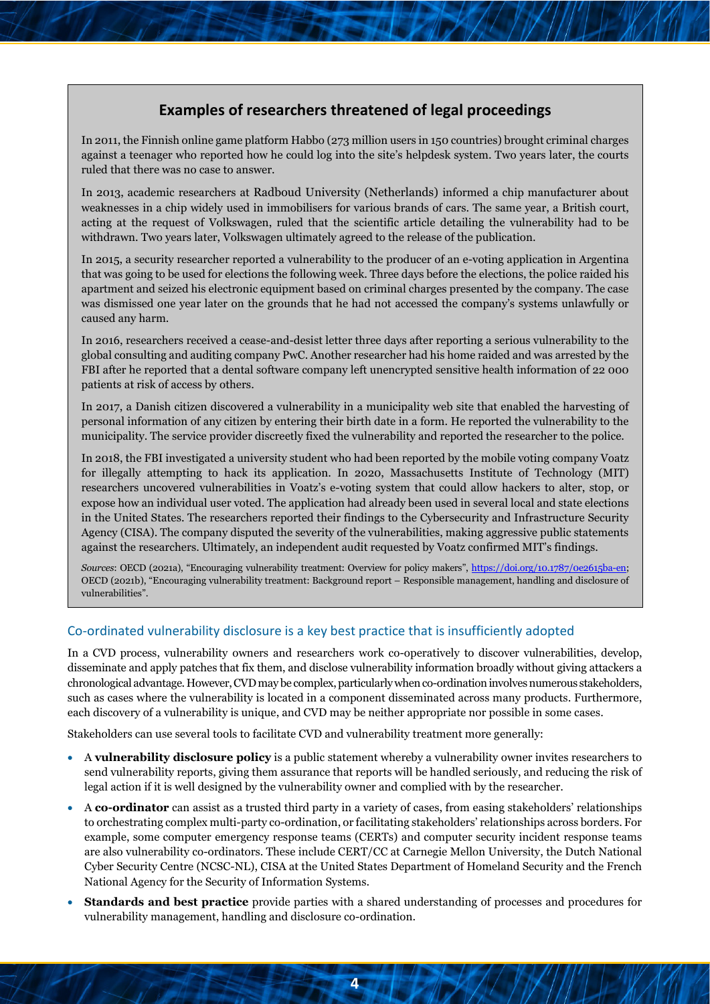# **Examples of researchers threatened of legal proceedings**

In 2011, the Finnish online game platform Habbo (273 million users in 150 countries) brought criminal charges against a teenager who reported how he could log into the site's helpdesk system. Two years later, the courts ruled that there was no case to answer.

In 2013, academic researchers at Radboud University (Netherlands) informed a chip manufacturer about weaknesses in a chip widely used in immobilisers for various brands of cars. The same year, a British court, acting at the request of Volkswagen, ruled that the scientific article detailing the vulnerability had to be withdrawn. Two years later, Volkswagen ultimately agreed to the release of the publication.

In 2015, a security researcher reported a vulnerability to the producer of an e-voting application in Argentina that was going to be used for elections the following week. Three days before the elections, the police raided his apartment and seized his electronic equipment based on criminal charges presented by the company. The case was dismissed one year later on the grounds that he had not accessed the company's systems unlawfully or caused any harm.

In 2016, researchers received a cease-and-desist letter three days after reporting a serious vulnerability to the global consulting and auditing company PwC. Another researcher had his home raided and was arrested by the FBI after he reported that a dental software company left unencrypted sensitive health information of 22 000 patients at risk of access by others.

In 2017, a Danish citizen discovered a vulnerability in a municipality web site that enabled the harvesting of personal information of any citizen by entering their birth date in a form. He reported the vulnerability to the municipality. The service provider discreetly fixed the vulnerability and reported the researcher to the police.

In 2018, the FBI investigated a university student who had been reported by the mobile voting company Voatz for illegally attempting to hack its application. In 2020, Massachusetts Institute of Technology (MIT) researchers uncovered vulnerabilities in Voatz's e-voting system that could allow hackers to alter, stop, or expose how an individual user voted. The application had already been used in several local and state elections in the United States. The researchers reported their findings to the Cybersecurity and Infrastructure Security Agency (CISA). The company disputed the severity of the vulnerabilities, making aggressive public statements against the researchers. Ultimately, an independent audit requested by Voatz confirmed MIT's findings.

*Sources*: OECD (2021a), "Encouraging vulnerability treatment: Overview for policy makers", [https://doi.org/10.1787/0e2615ba-en;](https://doi.org/10.1787/0e2615ba-en) OECD (2021b), "Encouraging vulnerability treatment: Background report – Responsible management, handling and disclosure of vulnerabilities".

#### Co-ordinated vulnerability disclosure is a key best practice that is insufficiently adopted

In a CVD process, vulnerability owners and researchers work co-operatively to discover vulnerabilities, develop, disseminate and apply patches that fix them, and disclose vulnerability information broadly without giving attackers a chronological advantage. However, CVD may be complex, particularlywhen co-ordination involves numerous stakeholders, such as cases where the vulnerability is located in a component disseminated across many products. Furthermore, each discovery of a vulnerability is unique, and CVD may be neither appropriate nor possible in some cases.

Stakeholders can use several tools to facilitate CVD and vulnerability treatment more generally:

- A **vulnerability disclosure policy** is a public statement whereby a vulnerability owner invites researchers to send vulnerability reports, giving them assurance that reports will be handled seriously, and reducing the risk of legal action if it is well designed by the vulnerability owner and complied with by the researcher.
- A **co-ordinator** can assist as a trusted third party in a variety of cases, from easing stakeholders' relationships to orchestrating complex multi-party co-ordination, or facilitating stakeholders' relationships across borders. For example, some computer emergency response teams (CERTs) and computer security incident response teams are also vulnerability co-ordinators. These include CERT/CC at Carnegie Mellon University, the Dutch National Cyber Security Centre (NCSC-NL), CISA at the United States Department of Homeland Security and the French National Agency for the Security of Information Systems.
- **Standards and best practice** provide parties with a shared understanding of processes and procedures for vulnerability management, handling and disclosure co-ordination.

**4**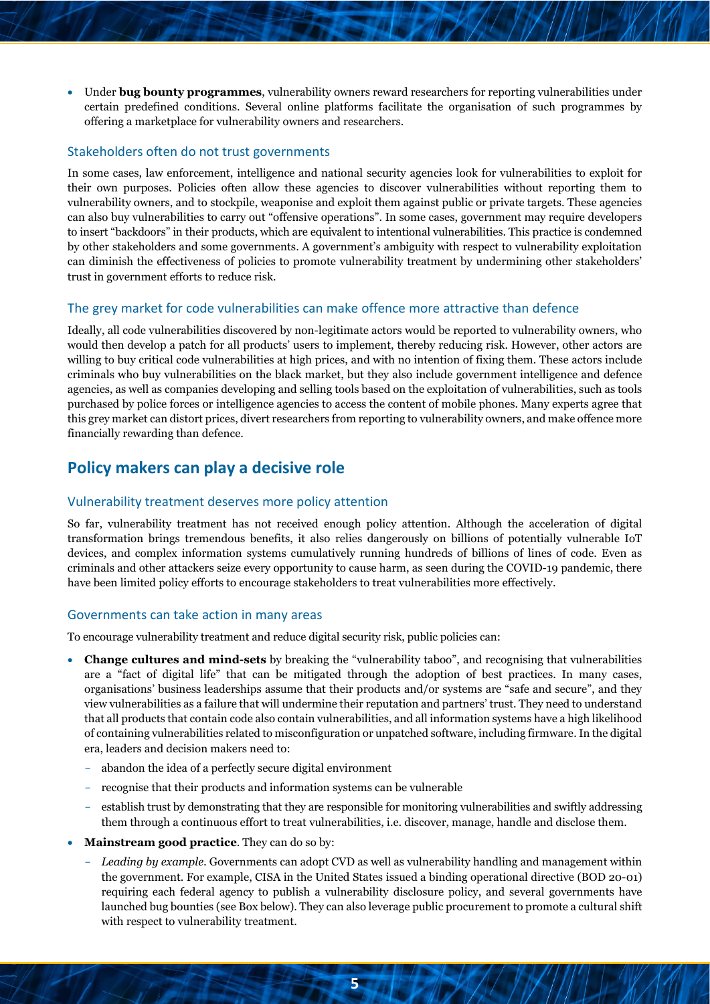• Under **bug bounty programmes**, vulnerability owners reward researchers for reporting vulnerabilities under certain predefined conditions. Several online platforms facilitate the organisation of such programmes by offering a marketplace for vulnerability owners and researchers.

#### Stakeholders often do not trust governments

In some cases, law enforcement, intelligence and national security agencies look for vulnerabilities to exploit for their own purposes. Policies often allow these agencies to discover vulnerabilities without reporting them to vulnerability owners, and to stockpile, weaponise and exploit them against public or private targets. These agencies can also buy vulnerabilities to carry out "offensive operations". In some cases, government may require developers to insert "backdoors" in their products, which are equivalent to intentional vulnerabilities. This practice is condemned by other stakeholders and some governments. A government's ambiguity with respect to vulnerability exploitation can diminish the effectiveness of policies to promote vulnerability treatment by undermining other stakeholders' trust in government efforts to reduce risk.

#### The grey market for code vulnerabilities can make offence more attractive than defence

Ideally, all code vulnerabilities discovered by non-legitimate actors would be reported to vulnerability owners, who would then develop a patch for all products' users to implement, thereby reducing risk. However, other actors are willing to buy critical code vulnerabilities at high prices, and with no intention of fixing them. These actors include criminals who buy vulnerabilities on the black market, but they also include government intelligence and defence agencies, as well as companies developing and selling tools based on the exploitation of vulnerabilities, such as tools purchased by police forces or intelligence agencies to access the content of mobile phones. Many experts agree that this grey market can distort prices, divert researchers from reporting to vulnerability owners, and make offence more financially rewarding than defence.

# **Policy makers can play a decisive role**

#### Vulnerability treatment deserves more policy attention

So far, vulnerability treatment has not received enough policy attention. Although the acceleration of digital transformation brings tremendous benefits, it also relies dangerously on billions of potentially vulnerable IoT devices, and complex information systems cumulatively running hundreds of billions of lines of code. Even as criminals and other attackers seize every opportunity to cause harm, as seen during the COVID-19 pandemic, there have been limited policy efforts to encourage stakeholders to treat vulnerabilities more effectively.

#### Governments can take action in many areas

To encourage vulnerability treatment and reduce digital security risk, public policies can:

- **Change cultures and mind-sets** by breaking the "vulnerability taboo", and recognising that vulnerabilities are a "fact of digital life" that can be mitigated through the adoption of best practices. In many cases, organisations' business leaderships assume that their products and/or systems are "safe and secure", and they view vulnerabilities as a failure that will undermine their reputation and partners' trust. They need to understand that all products that contain code also contain vulnerabilities, and all information systems have a high likelihood of containing vulnerabilities related to misconfiguration or unpatched software, including firmware. In the digital era, leaders and decision makers need to:
	- abandon the idea of a perfectly secure digital environment
	- recognise that their products and information systems can be vulnerable
	- establish trust by demonstrating that they are responsible for monitoring vulnerabilities and swiftly addressing them through a continuous effort to treat vulnerabilities, i.e. discover, manage, handle and disclose them.
- **Mainstream good practice**. They can do so by:
	- Leading by example. Governments can adopt CVD as well as vulnerability handling and management within the government. For example, CISA in the United States issued a binding operational directive (BOD 20-01) requiring each federal agency to publish a vulnerability disclosure policy, and several governments have launched bug bounties (see Box below). They can also leverage public procurement to promote a cultural shift with respect to vulnerability treatment.

**5**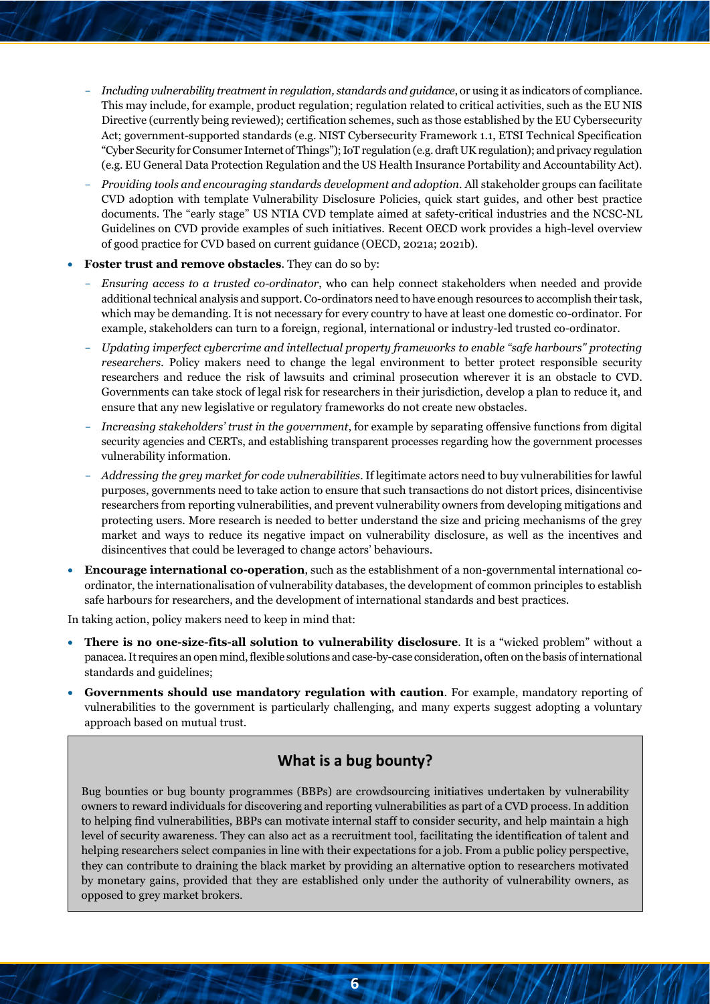- *Including vulnerability treatment in regulation, standards and guidance*, or using it as indicators of compliance. This may include, for example, product regulation; regulation related to critical activities, such as the EU NIS Directive (currently being reviewed); certification schemes, such as those established by the EU Cybersecurity Act; government-supported standards (e.g. NIST Cybersecurity Framework 1.1, ETSI Technical Specification "Cyber Security for Consumer Internet of Things"); IoT regulation (e.g. draft UK regulation); and privacy regulation (e.g. EU General Data Protection Regulation and the US Health Insurance Portability and Accountability Act).
- *Providing tools and encouraging standards development and adoption*. All stakeholder groups can facilitate CVD adoption with template Vulnerability Disclosure Policies, quick start guides, and other best practice documents. The "early stage" US NTIA CVD template aimed at safety-critical industries and the NCSC-NL Guidelines on CVD provide examples of such initiatives. Recent OECD work provides a high-level overview of good practice for CVD based on current guidance (OECD, 2021a; 2021b).
- **Foster trust and remove obstacles**. They can do so by:
	- *Ensuring access to a trusted co-ordinator*, who can help connect stakeholders when needed and provide additional technical analysis and support. Co-ordinators need to have enough resources to accomplish their task, which may be demanding. It is not necessary for every country to have at least one domestic co-ordinator. For example, stakeholders can turn to a foreign, regional, international or industry-led trusted co-ordinator.
	- *Updating imperfect cybercrime and intellectual property frameworks to enable "safe harbours" protecting researchers.* Policy makers need to change the legal environment to better protect responsible security researchers and reduce the risk of lawsuits and criminal prosecution wherever it is an obstacle to CVD. Governments can take stock of legal risk for researchers in their jurisdiction, develop a plan to reduce it, and ensure that any new legislative or regulatory frameworks do not create new obstacles.
	- *Increasing stakeholders' trust in the government*, for example by separating offensive functions from digital security agencies and CERTs, and establishing transparent processes regarding how the government processes vulnerability information.
	- *Addressing the grey market for code vulnerabilities.* If legitimate actors need to buy vulnerabilities for lawful purposes, governments need to take action to ensure that such transactions do not distort prices, disincentivise researchers from reporting vulnerabilities, and prevent vulnerability owners from developing mitigations and protecting users. More research is needed to better understand the size and pricing mechanisms of the grey market and ways to reduce its negative impact on vulnerability disclosure, as well as the incentives and disincentives that could be leveraged to change actors' behaviours.
- **Encourage international co-operation**, such as the establishment of a non-governmental international coordinator, the internationalisation of vulnerability databases, the development of common principles to establish safe harbours for researchers, and the development of international standards and best practices.

In taking action, policy makers need to keep in mind that:

- **There is no one-size-fits-all solution to vulnerability disclosure**. It is a "wicked problem" without a panacea. It requires an open mind, flexible solutions and case-by-case consideration, often on the basis of international standards and guidelines;
- **Governments should use mandatory regulation with caution**. For example, mandatory reporting of vulnerabilities to the government is particularly challenging, and many experts suggest adopting a voluntary approach based on mutual trust.

### **What is a bug bounty?**

Bug bounties or bug bounty programmes (BBPs) are crowdsourcing initiatives undertaken by vulnerability owners to reward individuals for discovering and reporting vulnerabilities as part of a CVD process. In addition to helping find vulnerabilities, BBPs can motivate internal staff to consider security, and help maintain a high level of security awareness. They can also act as a recruitment tool, facilitating the identification of talent and helping researchers select companies in line with their expectations for a job. From a public policy perspective, they can contribute to draining the black market by providing an alternative option to researchers motivated by monetary gains, provided that they are established only under the authority of vulnerability owners, as opposed to grey market brokers.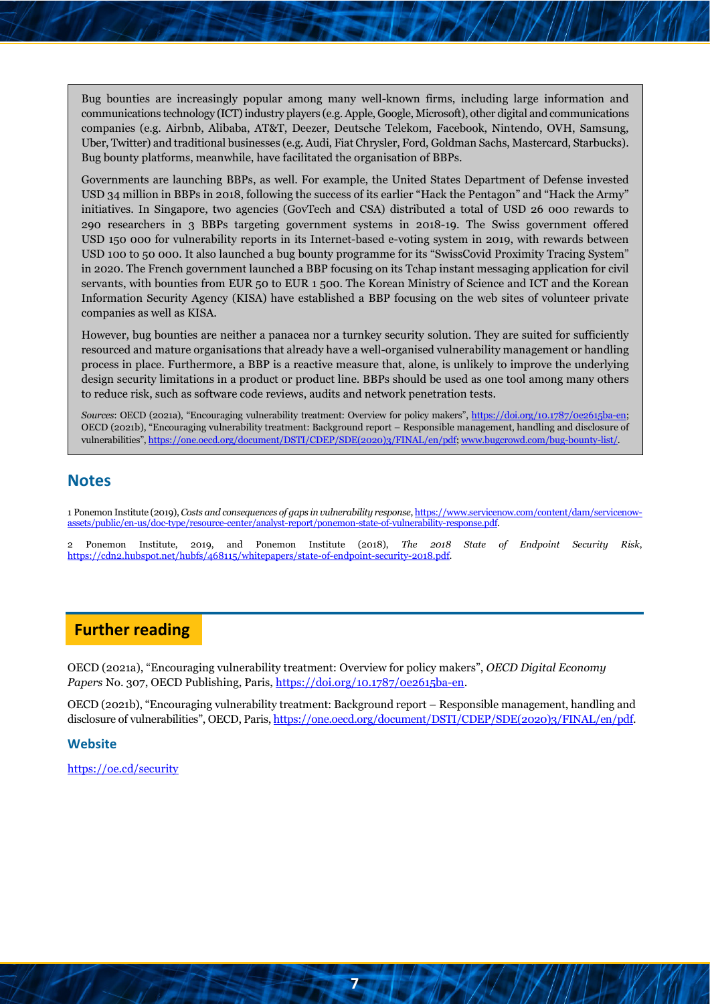Bug bounties are increasingly popular among many well-known firms, including large information and communications technology (ICT) industry players (e.g. Apple, Google, Microsoft), other digital and communications companies (e.g. Airbnb, Alibaba, AT&T, Deezer, Deutsche Telekom, Facebook, Nintendo, OVH, Samsung, Uber, Twitter) and traditional businesses (e.g. Audi, Fiat Chrysler, Ford, Goldman Sachs, Mastercard, Starbucks). Bug bounty platforms, meanwhile, have facilitated the organisation of BBPs.

Governments are launching BBPs, as well. For example, the United States Department of Defense invested USD 34 million in BBPs in 2018, following the success of its earlier "Hack the Pentagon" and "Hack the Army" initiatives. In Singapore, two agencies (GovTech and CSA) distributed a total of USD 26 000 rewards to 290 researchers in 3 BBPs targeting government systems in 2018-19. The Swiss government offered USD 150 000 for vulnerability reports in its Internet-based e-voting system in 2019, with rewards between USD 100 to 50 000. It also launched a bug bounty programme for its "SwissCovid Proximity Tracing System" in 2020. The French government launched a BBP focusing on its Tchap instant messaging application for civil servants, with bounties from EUR 50 to EUR 1 500. The Korean Ministry of Science and ICT and the Korean Information Security Agency (KISA) have established a BBP focusing on the web sites of volunteer private companies as well as KISA.

However, bug bounties are neither a panacea nor a turnkey security solution. They are suited for sufficiently resourced and mature organisations that already have a well-organised vulnerability management or handling process in place. Furthermore, a BBP is a reactive measure that, alone, is unlikely to improve the underlying design security limitations in a product or product line. BBPs should be used as one tool among many others to reduce risk, such as software code reviews, audits and network penetration tests.

*Sources*: OECD (2021a), "Encouraging vulnerability treatment: Overview for policy makers", [https://doi.org/10.1787/0e2615ba-en;](https://doi.org/10.1787/0e2615ba-en) OECD (2021b), "Encouraging vulnerability treatment: Background report – Responsible management, handling and disclosure of vulnerabilities"[, https://one.oecd.org/document/DSTI/CDEP/SDE\(2020\)3/FINAL/en/pdf;](https://one.oecd.org/document/DSTI/CDEP/SDE(2020)3/FINAL/en/pdf) [www.bugcrowd.com/bug-bounty-list/.](http://www.bugcrowd.com/bug-bounty-list/)

## **Notes**

<span id="page-6-0"></span>1 Ponemon Institute (2019), *Costs and consequences of gaps in vulnerability response*[, https://www.servicenow.com/content/dam/servicenow](https://www.servicenow.com/content/dam/servicenow-assets/public/en-us/doc-type/resource-center/analyst-report/ponemon-state-of-vulnerability-response.pdf)[assets/public/en-us/doc-type/resource-center/analyst-report/ponemon-state-of-vulnerability-response.pdf.](https://www.servicenow.com/content/dam/servicenow-assets/public/en-us/doc-type/resource-center/analyst-report/ponemon-state-of-vulnerability-response.pdf)

<span id="page-6-1"></span>2 Ponemon Institute, 2019, and Ponemon Institute (2018), *The 2018 State of Endpoint Security Risk*, https://cdn2.hubspot.net/hubfs/468115/whitepapers/state-of-endpoint-security-2018.pdf.

# **Further reading**

OECD (2021a), "Encouraging vulnerability treatment: Overview for policy makers", *OECD Digital Economy*  Papers No. 307, OECD Publishing, Paris, [https://doi.org/10.1787/0e2615ba-en.](https://doi.org/10.1787/0e2615ba-en)

OECD (2021b), "Encouraging vulnerability treatment: Background report – Responsible management, handling and disclosure of vulnerabilities", OECD, Paris, [https://one.oecd.org/document/DSTI/CDEP/SDE\(2020\)3/FINAL/en/pdf.](https://one.oecd.org/document/DSTI/CDEP/SDE(2020)3/FINAL/en/pdf)

**7**

**Website**

<https://oe.cd/security>